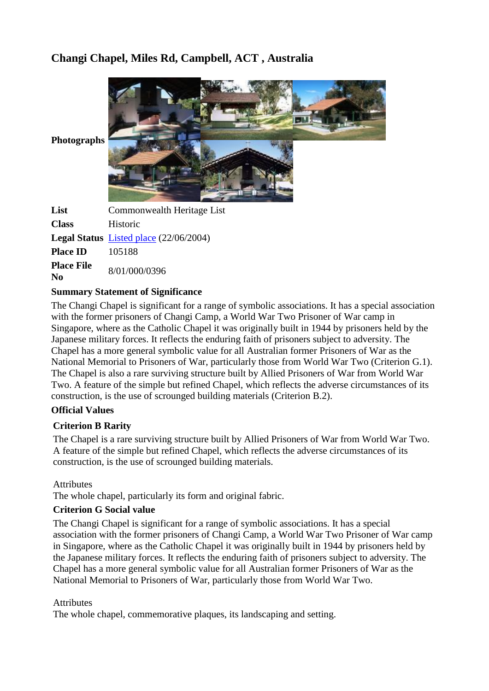# **Changi Chapel, Miles Rd, Campbell, ACT , Australia**



**Photographs**

| List                    | Commonwealth Heritage List             |
|-------------------------|----------------------------------------|
| <b>Class</b>            | Historic                               |
|                         | Legal Status Listed place (22/06/2004) |
| <b>Place ID</b>         | 105188                                 |
| <b>Place File</b><br>No | 8/01/000/0396                          |

## **Summary Statement of Significance**

The Changi Chapel is significant for a range of symbolic associations. It has a special association with the former prisoners of Changi Camp, a World War Two Prisoner of War camp in Singapore, where as the Catholic Chapel it was originally built in 1944 by prisoners held by the Japanese military forces. It reflects the enduring faith of prisoners subject to adversity. The Chapel has a more general symbolic value for all Australian former Prisoners of War as the National Memorial to Prisoners of War, particularly those from World War Two (Criterion G.1). The Chapel is also a rare surviving structure built by Allied Prisoners of War from World War Two. A feature of the simple but refined Chapel, which reflects the adverse circumstances of its construction, is the use of scrounged building materials (Criterion B.2).

### **Official Values**

### **Criterion B Rarity**

The Chapel is a rare surviving structure built by Allied Prisoners of War from World War Two. A feature of the simple but refined Chapel, which reflects the adverse circumstances of its construction, is the use of scrounged building materials.

### Attributes

The whole chapel, particularly its form and original fabric.

### **Criterion G Social value**

The Changi Chapel is significant for a range of symbolic associations. It has a special association with the former prisoners of Changi Camp, a World War Two Prisoner of War camp in Singapore, where as the Catholic Chapel it was originally built in 1944 by prisoners held by the Japanese military forces. It reflects the enduring faith of prisoners subject to adversity. The Chapel has a more general symbolic value for all Australian former Prisoners of War as the National Memorial to Prisoners of War, particularly those from World War Two.

### Attributes

The whole chapel, commemorative plaques, its landscaping and setting.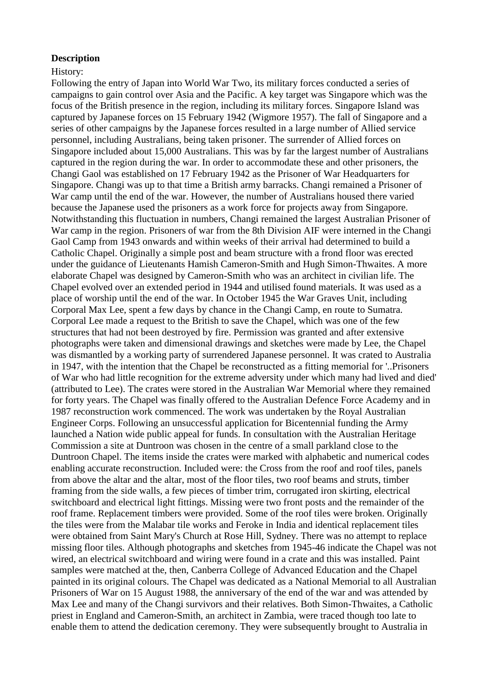### **Description**

#### History:

Following the entry of Japan into World War Two, its military forces conducted a series of campaigns to gain control over Asia and the Pacific. A key target was Singapore which was the focus of the British presence in the region, including its military forces. Singapore Island was captured by Japanese forces on 15 February 1942 (Wigmore 1957). The fall of Singapore and a series of other campaigns by the Japanese forces resulted in a large number of Allied service personnel, including Australians, being taken prisoner. The surrender of Allied forces on Singapore included about 15,000 Australians. This was by far the largest number of Australians captured in the region during the war. In order to accommodate these and other prisoners, the Changi Gaol was established on 17 February 1942 as the Prisoner of War Headquarters for Singapore. Changi was up to that time a British army barracks. Changi remained a Prisoner of War camp until the end of the war. However, the number of Australians housed there varied because the Japanese used the prisoners as a work force for projects away from Singapore. Notwithstanding this fluctuation in numbers, Changi remained the largest Australian Prisoner of War camp in the region. Prisoners of war from the 8th Division AIF were interned in the Changi Gaol Camp from 1943 onwards and within weeks of their arrival had determined to build a Catholic Chapel. Originally a simple post and beam structure with a frond floor was erected under the guidance of Lieutenants Hamish Cameron-Smith and Hugh Simon-Thwaites. A more elaborate Chapel was designed by Cameron-Smith who was an architect in civilian life. The Chapel evolved over an extended period in 1944 and utilised found materials. It was used as a place of worship until the end of the war. In October 1945 the War Graves Unit, including Corporal Max Lee, spent a few days by chance in the Changi Camp, en route to Sumatra. Corporal Lee made a request to the British to save the Chapel, which was one of the few structures that had not been destroyed by fire. Permission was granted and after extensive photographs were taken and dimensional drawings and sketches were made by Lee, the Chapel was dismantled by a working party of surrendered Japanese personnel. It was crated to Australia in 1947, with the intention that the Chapel be reconstructed as a fitting memorial for '..Prisoners of War who had little recognition for the extreme adversity under which many had lived and died' (attributed to Lee). The crates were stored in the Australian War Memorial where they remained for forty years. The Chapel was finally offered to the Australian Defence Force Academy and in 1987 reconstruction work commenced. The work was undertaken by the Royal Australian Engineer Corps. Following an unsuccessful application for Bicentennial funding the Army launched a Nation wide public appeal for funds. In consultation with the Australian Heritage Commission a site at Duntroon was chosen in the centre of a small parkland close to the Duntroon Chapel. The items inside the crates were marked with alphabetic and numerical codes enabling accurate reconstruction. Included were: the Cross from the roof and roof tiles, panels from above the altar and the altar, most of the floor tiles, two roof beams and struts, timber framing from the side walls, a few pieces of timber trim, corrugated iron skirting, electrical switchboard and electrical light fittings. Missing were two front posts and the remainder of the roof frame. Replacement timbers were provided. Some of the roof tiles were broken. Originally the tiles were from the Malabar tile works and Feroke in India and identical replacement tiles were obtained from Saint Mary's Church at Rose Hill, Sydney. There was no attempt to replace missing floor tiles. Although photographs and sketches from 1945-46 indicate the Chapel was not wired, an electrical switchboard and wiring were found in a crate and this was installed. Paint samples were matched at the, then, Canberra College of Advanced Education and the Chapel painted in its original colours. The Chapel was dedicated as a National Memorial to all Australian Prisoners of War on 15 August 1988, the anniversary of the end of the war and was attended by Max Lee and many of the Changi survivors and their relatives. Both Simon-Thwaites, a Catholic priest in England and Cameron-Smith, an architect in Zambia, were traced though too late to enable them to attend the dedication ceremony. They were subsequently brought to Australia in